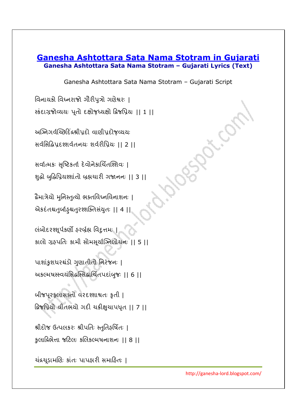## **Ganesha Ashtottara Sata Nama Stotram in Gujarati Ganesha Ashtottara Sata Nama Stotram – Gujarati Lyrics (Text)**

Ganesha Ashtottara Sata Nama Stotram – Gujarati Script

વિનાયકો વિધ્નરાજો ગૌરીપુત્રો ગણેશ્વરઃ |

स्डंहाग्रश्नेव्ययः पतो दृक्षो रुध्यक्षो द्वि प्रियः ।। 1।।

અઞ્નિગર્વચ્છિદિંદ્રશ્રીપ્રદો વાણીપ્રદોજ઼વ્યયઃ

સર્વાસેહ્રિપ્રદશ્શર્વતનયઃ શર્વરીપ્રિયઃ || 2 ||

સર્વાત્મકઃ સૃષ્ટિકર્તા દેવોનેકાર્ચિતશ્શિવઃ |

શુદ્ધો બુદ્ધિપ્રિયશ્શાંતો બ્રહ્મચારી ગજાનનઃ || 3 ||-

દ્રેમાત્રેયો મુનિસ્તુત્યો ભક્તવિધ્નવિનાશનઃ | એકદતશ્ચતુર્બાહુશ્ચતુરશ્શક્તિસયુતઃ || 4 ||ૄ

લંબોદરશ્શૂર્પકર્ણો ફરબ્ર્હ્મ વિદુત્તમઃ | કાલો ગ્રહપતિઃ કામી સોમસૂર્યાઝિલોચન: || 5 ||

પાશાંકુશધરશ્ચંડો ગુણાતીતો નિરંજનઃ | અકલ્મષસ્ત્વયંસિદ્ધસ્તિદ્ધાર્થતપદાંબુજઃ || 6 || |

બીજપૂરફલાસક્તો વરદશ્શાશ્વતઃ કૃતી | ક્રિજપ્રિયો વીતભર્યો ગદી ચક્રીક્ષુચાપધૃત || 7 ||

શ્રીદોજ ઉત્પલકરઃ શ્રીપતિઃ સ્તુતિર્હર્ષિતઃ |

કલાવ્રિભેત્તા જટિલઃ કલિકલ્મષનાશનઃ || 8 ||

ચંદ્રચૂડામણિઃ કાતઃ પાપહ્રારી સમાહિતઃ |

http://ganesha-lord.blogspot.com/